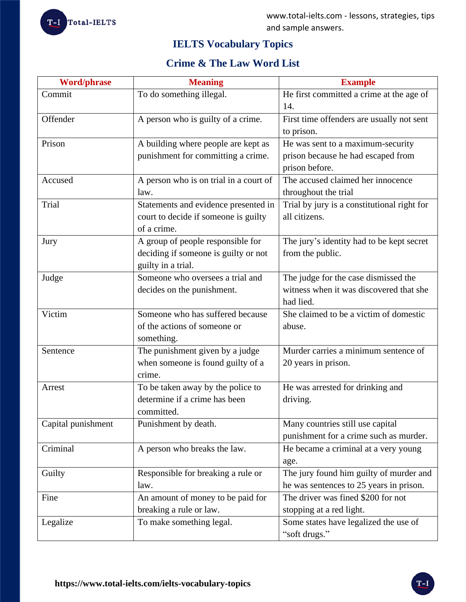

# **IELTS Vocabulary Topics**

# **Crime & The Law Word List**

| <b>Word/phrase</b> | <b>Meaning</b>                                                                                  | <b>Example</b>                                                                               |
|--------------------|-------------------------------------------------------------------------------------------------|----------------------------------------------------------------------------------------------|
| Commit             | To do something illegal.                                                                        | He first committed a crime at the age of<br>14.                                              |
| Offender           | A person who is guilty of a crime.                                                              | First time offenders are usually not sent<br>to prison.                                      |
| Prison             | A building where people are kept as<br>punishment for committing a crime.                       | He was sent to a maximum-security<br>prison because he had escaped from<br>prison before.    |
| Accused            | A person who is on trial in a court of<br>law.                                                  | The accused claimed her innocence<br>throughout the trial                                    |
| Trial              | Statements and evidence presented in<br>court to decide if someone is guilty<br>of a crime.     | Trial by jury is a constitutional right for<br>all citizens.                                 |
| Jury               | A group of people responsible for<br>deciding if someone is guilty or not<br>guilty in a trial. | The jury's identity had to be kept secret<br>from the public.                                |
| Judge              | Someone who oversees a trial and<br>decides on the punishment.                                  | The judge for the case dismissed the<br>witness when it was discovered that she<br>had lied. |
| Victim             | Someone who has suffered because<br>of the actions of someone or<br>something.                  | She claimed to be a victim of domestic<br>abuse.                                             |
| Sentence           | The punishment given by a judge<br>when someone is found guilty of a<br>crime.                  | Murder carries a minimum sentence of<br>20 years in prison.                                  |
| Arrest             | To be taken away by the police to<br>determine if a crime has been<br>committed.                | He was arrested for drinking and<br>driving.                                                 |
| Capital punishment | Punishment by death.                                                                            | Many countries still use capital<br>punishment for a crime such as murder.                   |
| Criminal           | A person who breaks the law.                                                                    | He became a criminal at a very young<br>age.                                                 |
| Guilty             | Responsible for breaking a rule or<br>law.                                                      | The jury found him guilty of murder and<br>he was sentences to 25 years in prison.           |
| Fine               | An amount of money to be paid for<br>breaking a rule or law.                                    | The driver was fined \$200 for not<br>stopping at a red light.                               |
| Legalize           | To make something legal.                                                                        | Some states have legalized the use of<br>"soft drugs."                                       |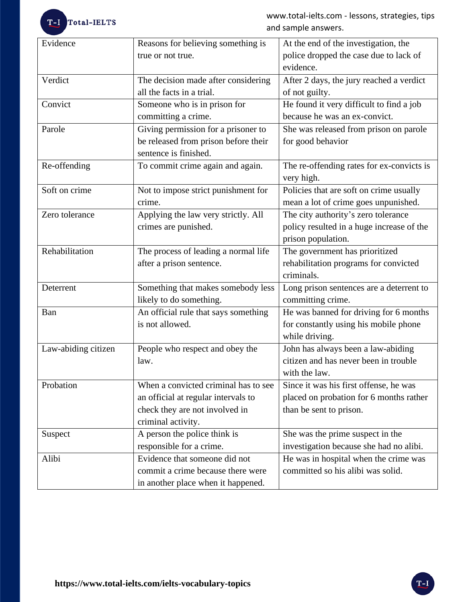# T-I Total-IELTS

www.total-ielts.com - lessons, strategies, tips and sample answers.

| Evidence            | Reasons for believing something is<br>true or not true.                                                                             | At the end of the investigation, the<br>police dropped the case due to lack of<br>evidence.                  |
|---------------------|-------------------------------------------------------------------------------------------------------------------------------------|--------------------------------------------------------------------------------------------------------------|
| Verdict             | The decision made after considering<br>all the facts in a trial.                                                                    | After 2 days, the jury reached a verdict<br>of not guilty.                                                   |
| Convict             | Someone who is in prison for<br>committing a crime.                                                                                 | He found it very difficult to find a job<br>because he was an ex-convict.                                    |
| Parole              | Giving permission for a prisoner to<br>be released from prison before their<br>sentence is finished.                                | She was released from prison on parole<br>for good behavior                                                  |
| Re-offending        | To commit crime again and again.                                                                                                    | The re-offending rates for ex-convicts is<br>very high.                                                      |
| Soft on crime       | Not to impose strict punishment for<br>crime.                                                                                       | Policies that are soft on crime usually<br>mean a lot of crime goes unpunished.                              |
| Zero tolerance      | Applying the law very strictly. All<br>crimes are punished.                                                                         | The city authority's zero tolerance<br>policy resulted in a huge increase of the<br>prison population.       |
| Rehabilitation      | The process of leading a normal life<br>after a prison sentence.                                                                    | The government has prioritized<br>rehabilitation programs for convicted<br>criminals.                        |
| Deterrent           | Something that makes somebody less<br>likely to do something.                                                                       | Long prison sentences are a deterrent to<br>committing crime.                                                |
| Ban                 | An official rule that says something<br>is not allowed.                                                                             | He was banned for driving for 6 months<br>for constantly using his mobile phone<br>while driving.            |
| Law-abiding citizen | People who respect and obey the<br>law.                                                                                             | John has always been a law-abiding<br>citizen and has never been in trouble<br>with the law.                 |
| Probation           | When a convicted criminal has to see<br>an official at regular intervals to<br>check they are not involved in<br>criminal activity. | Since it was his first offense, he was<br>placed on probation for 6 months rather<br>than be sent to prison. |
| Suspect             | A person the police think is<br>responsible for a crime.                                                                            | She was the prime suspect in the<br>investigation because she had no alibi.                                  |
| Alibi               | Evidence that someone did not<br>commit a crime because there were<br>in another place when it happened.                            | He was in hospital when the crime was<br>committed so his alibi was solid.                                   |